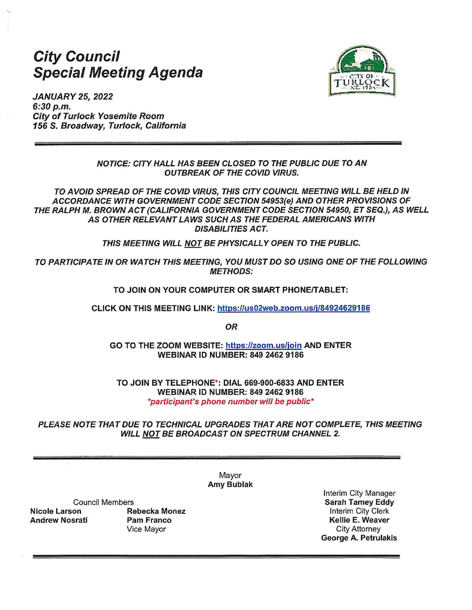# **City Council Special Meeting Agenda**



**JANUARY 25, 2022** 6:30 p.m. **City of Turlock Yosemite Room** 156 S. Broadway, Turlock, California

> **NOTICE: CITY HALL HAS BEEN CLOSED TO THE PUBLIC DUE TO AN OUTBREAK OF THE COVID VIRUS.**

TO AVOID SPREAD OF THE COVID VIRUS, THIS CITY COUNCIL MEETING WILL BE HELD IN ACCORDANCE WITH GOVERNMENT CODE SECTION 54953(e) AND OTHER PROVISIONS OF THE RALPH M. BROWN ACT (CALIFORNIA GOVERNMENT CODE SECTION 54950, ET SEQ.), AS WELL AS OTHER RELEVANT LAWS SUCH AS THE FEDERAL AMERICANS WITH **DISABILITIES ACT.** 

THIS MEETING WILL NOT BE PHYSICALLY OPEN TO THE PUBLIC.

TO PARTICIPATE IN OR WATCH THIS MEETING, YOU MUST DO SO USING ONE OF THE FOLLOWING **METHODS:** 

TO JOIN ON YOUR COMPUTER OR SMART PHONE/TABLET:

CLICK ON THIS MEETING LINK: https://us02web.zoom.us/j/84924629186

**OR** 

GO TO THE ZOOM WEBSITE: https://zoom.us/join AND ENTER **WEBINAR ID NUMBER: 849 2462 9186** 

TO JOIN BY TELEPHONE\*: DIAL 669-900-6833 AND ENTER **WEBINAR ID NUMBER: 849 2462 9186** \*participant's phone number will be public\*

PLEASE NOTE THAT DUE TO TECHNICAL UPGRADES THAT ARE NOT COMPLETE. THIS MEETING WILL NOT BE BROADCAST ON SPECTRUM CHANNEL 2.

> Mavor **Amy Bublak**

**Council Members Nicole Larson Andrew Nosrati** 

**Rebecka Monez Pam Franco** Vice Mayor

Interim City Manager **Sarah Tamey Eddy** Interim City Clerk Kellie E. Weaver **City Attorney** George A. Petrulakis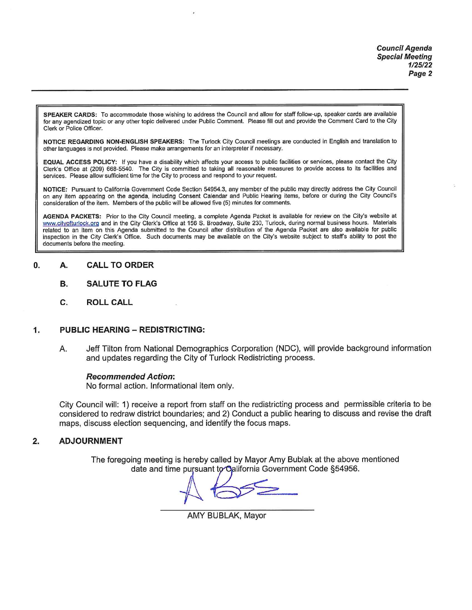SPEAKER CARDS: To accommodate those wishing to address the Council and allow for staff follow-up, speaker cards are available for any agendized topic or any other topic delivered under Public Comment. Please fill out and provide the Comment Card to the City Clerk or Police Officer.

NOTICE REGARDING NON-ENGLISH SPEAKERS: The Turlock City Council meetings are conducted in English and translation to other languages is not provided. Please make arrangements for an interpreter if necessary.

EQUAL ACCESS POLICY: If you have a disability which affects your access to public facilities or services, please contact the City Clerk's Office at (209) 668-5540. The City is committed to taking all reasonable measures to provide access to its facilities and services. Please allow sufficient time for the City to process and respond to your request.

NOTICE: Pursuant to California Government Code Section 54954.3, any member of the public may directly address the City Council on any item appearing on the agenda, including Consent Calendar and Public Hearing items, before or during the City Council's consideration of the item. Members of the public will be allowed five (5) minutes for comments.

AGENDA PACKETS: Prior to the City Council meeting, a complete Agenda Packet is available for review on the City's website at www.cityofturlock.org and in the City Clerk's Office at 156 S. Broadway, Suite 230, Turlock, during normal business hours. Materials related to an item on this Agenda submitted to the Council after distribution of the Agenda Packet are also available for public inspection in the City Clerk's Office. Such documents may be available on the City's website subject to staff's ability to post the documents before the meeting.

#### **CALL TO ORDER** 0. А.

- **SALUTE TO FLAG** В.
- **ROLL CALL** C.

#### **PUBLIC HEARING - REDISTRICTING:** 1.

Jeff Tilton from National Demographics Corporation (NDC), will provide background information Ā. and updates regarding the City of Turlock Redistricting process.

### **Recommended Action:**

No formal action. Informational item only.

City Council will: 1) receive a report from staff on the redistricting process and permissible criteria to be considered to redraw district boundaries; and 2) Conduct a public hearing to discuss and revise the draft maps, discuss election sequencing, and identify the focus maps.

#### $2.$ **ADJOURNMENT**

The foregoing meeting is hereby called by Mayor Amy Bublak at the above mentioned date and time pursuant to California Government Code §54956.

AMY BUBLAK, Mayor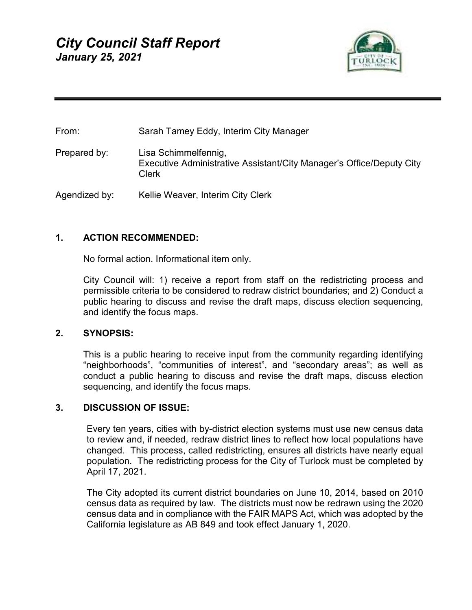

| From:         | Sarah Tamey Eddy, Interim City Manager                                                                |
|---------------|-------------------------------------------------------------------------------------------------------|
| Prepared by:  | Lisa Schimmelfennig,<br>Executive Administrative Assistant/City Manager's Office/Deputy City<br>Clerk |
| Agendized by: | Kellie Weaver, Interim City Clerk                                                                     |

# **1. ACTION RECOMMENDED:**

No formal action. Informational item only.

City Council will: 1) receive a report from staff on the redistricting process and permissible criteria to be considered to redraw district boundaries; and 2) Conduct a public hearing to discuss and revise the draft maps, discuss election sequencing, and identify the focus maps.

### **2. SYNOPSIS:**

This is a public hearing to receive input from the community regarding identifying "neighborhoods", "communities of interest", and "secondary areas"; as well as conduct a public hearing to discuss and revise the draft maps, discuss election sequencing, and identify the focus maps.

### **3. DISCUSSION OF ISSUE:**

Every ten years, cities with by-district election systems must use new census data to review and, if needed, redraw district lines to reflect how local populations have changed. This process, called redistricting, ensures all districts have nearly equal population. The redistricting process for the City of Turlock must be completed by April 17, 2021.

The City adopted its current district boundaries on June 10, 2014, based on 2010 census data as required by law. The districts must now be redrawn using the 2020 census data and in compliance with the FAIR MAPS Act, which was adopted by the California legislature as AB 849 and took effect January 1, 2020.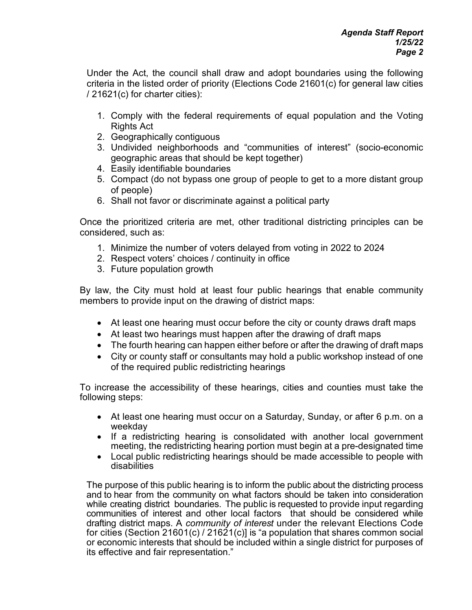Under the Act, the council shall draw and adopt boundaries using the following criteria in the listed order of priority (Elections Code 21601(c) for general law cities / 21621(c) for charter cities):

- 1. Comply with the federal requirements of equal population and the Voting Rights Act
- 2. Geographically contiguous
- 3. Undivided neighborhoods and "communities of interest" (socio-economic geographic areas that should be kept together)
- 4. Easily identifiable boundaries
- 5. Compact (do not bypass one group of people to get to a more distant group of people)
- 6. Shall not favor or discriminate against a political party

Once the prioritized criteria are met, other traditional districting principles can be considered, such as:

- 1. Minimize the number of voters delayed from voting in 2022 to 2024
- 2. Respect voters' choices / continuity in office
- 3. Future population growth

By law, the City must hold at least four public hearings that enable community members to provide input on the drawing of district maps:

- At least one hearing must occur before the city or county draws draft maps
- At least two hearings must happen after the drawing of draft maps
- The fourth hearing can happen either before or after the drawing of draft maps
- City or county staff or consultants may hold a public workshop instead of one of the required public redistricting hearings

To increase the accessibility of these hearings, cities and counties must take the following steps:

- At least one hearing must occur on a Saturday, Sunday, or after 6 p.m. on a weekday
- If a redistricting hearing is consolidated with another local government meeting, the redistricting hearing portion must begin at a pre-designated time
- Local public redistricting hearings should be made accessible to people with disabilities

The purpose of this public hearing is to inform the public about the districting process and to hear from the community on what factors should be taken into consideration while creating district boundaries. The public is requested to provide input regarding communities of interest and other local factors that should be considered while drafting district maps. A *community of interest* under the relevant Elections Code for cities (Section 21601(c) / 21621(c)] is "a population that shares common social or economic interests that should be included within a single district for purposes of its effective and fair representation."